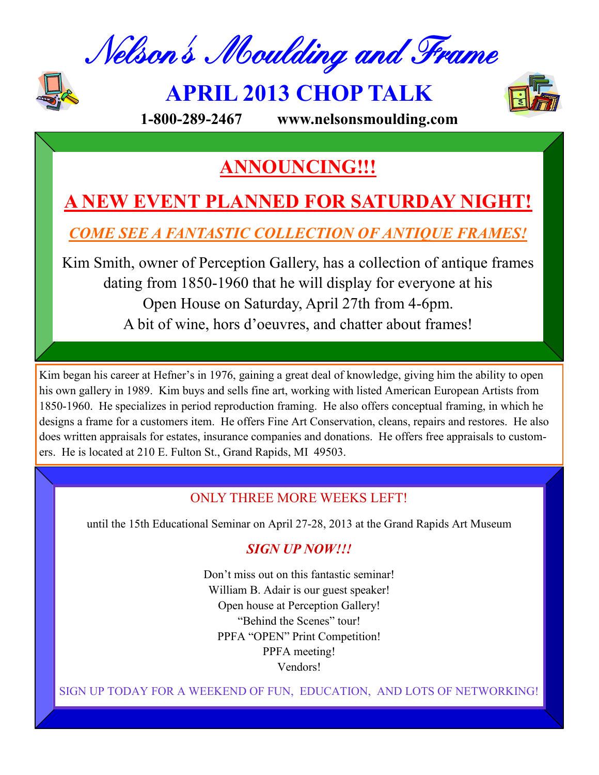Nelson's Moulding and Frame



**APRIL 2013 CHOP TALK**



**1-800-289-2467 www.nelsonsmoulding.com**

## **ANNOUNCING!!!**

# **A NEW EVENT PLANNED FOR SATURDAY NIGHT!**

*COME SEE A FANTASTIC COLLECTION OF ANTIQUE FRAMES!*

Kim Smith, owner of Perception Gallery, has a collection of antique frames dating from 1850-1960 that he will display for everyone at his Open House on Saturday, April 27th from 4-6pm. A bit of wine, hors d'oeuvres, and chatter about frames!

Kim began his career at Hefner's in 1976, gaining a great deal of knowledge, giving him the ability to open his own gallery in 1989. Kim buys and sells fine art, working with listed American European Artists from 1850-1960. He specializes in period reproduction framing. He also offers conceptual framing, in which he designs a frame for a customers item. He offers Fine Art Conservation, cleans, repairs and restores. He also does written appraisals for estates, insurance companies and donations. He offers free appraisals to customers. He is located at 210 E. Fulton St., Grand Rapids, MI 49503.

## ONLY THREE MORE WEEKS LEFT!

until the 15th Educational Seminar on April 27-28, 2013 at the Grand Rapids Art Museum

## *SIGN UP NOW!!!*

Don't miss out on this fantastic seminar! William B. Adair is our guest speaker! Open house at Perception Gallery! "Behind the Scenes" tour! PPFA "OPEN" Print Competition! PPFA meeting! Vendors!

SIGN UP TODAY FOR A WEEKEND OF FUN, EDUCATION, AND LOTS OF NETWORKING!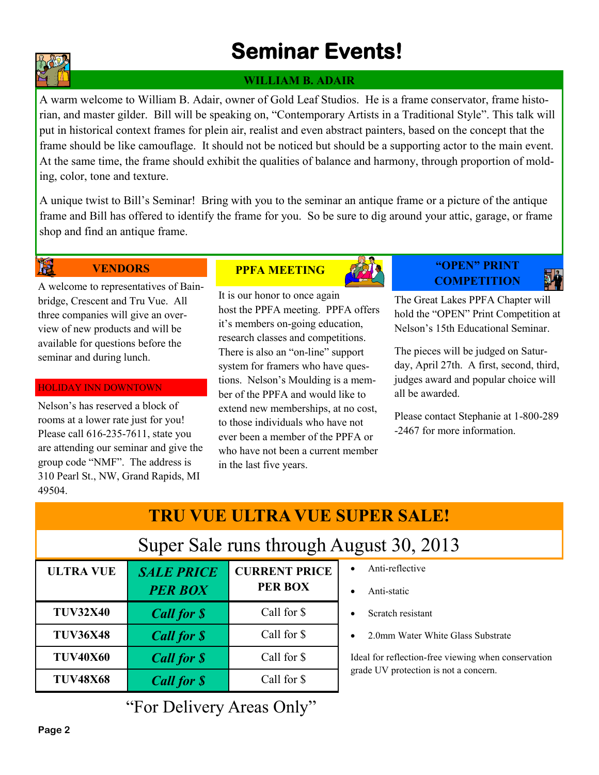# **Seminar Events!**

## **WILLIAM B. ADAIR**

A warm welcome to William B. Adair, owner of Gold Leaf Studios. He is a frame conservator, frame historian, and master gilder. Bill will be speaking on, "Contemporary Artists in a Traditional Style". This talk will put in historical context frames for plein air, realist and even abstract painters, based on the concept that the frame should be like camouflage. It should not be noticed but should be a supporting actor to the main event. At the same time, the frame should exhibit the qualities of balance and harmony, through proportion of molding, color, tone and texture.

A unique twist to Bill's Seminar! Bring with you to the seminar an antique frame or a picture of the antique frame and Bill has offered to identify the frame for you. So be sure to dig around your attic, garage, or frame shop and find an antique frame.

**VENDORS**

A welcome to representatives of Bainbridge, Crescent and Tru Vue. All three companies will give an overview of new products and will be available for questions before the seminar and during lunch.

### HOLIDAY INN DOWNTOWN

Nelson's has reserved a block of rooms at a lower rate just for you! Please call 616-235-7611, state you are attending our seminar and give the group code "NMF". The address is 310 Pearl St., NW, Grand Rapids, MI 49504.

### **PPFA MEETING**

It is our honor to once again host the PPFA meeting. PPFA offers it's members on-going education, research classes and competitions. There is also an "on-line" support system for framers who have questions. Nelson's Moulding is a member of the PPFA and would like to extend new memberships, at no cost, to those individuals who have not ever been a member of the PPFA or who have not been a current member in the last five years.

### **"OPEN" PRINT COMPETITION**

The Great Lakes PPFA Chapter will hold the "OPEN" Print Competition at Nelson's 15th Educational Seminar.

The pieces will be judged on Saturday, April 27th. A first, second, third, judges award and popular choice will all be awarded.

Please contact Stephanie at 1-800-289 -2467 for more information.

# **TRU VUE ULTRA VUE SUPER SALE!**

## Super Sale runs through August 30, 2013

| <b>ULTRA VUE</b> | <b>SALE PRICE</b><br><b>PER BOX</b> | <b>CURRENT PRICE</b><br><b>PER BOX</b> |
|------------------|-------------------------------------|----------------------------------------|
| <b>TUV32X40</b>  | <b>Call for \$</b>                  | Call for \$                            |
| <b>TUV36X48</b>  | <b>Call for \$</b>                  | Call for \$                            |
| <b>TUV40X60</b>  | <b>Call for \$</b>                  | Call for \$                            |
| <b>TUV48X68</b>  | <b>Call for \$</b>                  | Call for \$                            |

- Anti-reflective
- Anti-static
- Scratch resistant
- 2.0mm Water White Glass Substrate

Ideal for reflection-free viewing when conservation grade UV protection is not a concern.

"For Delivery Areas Only"



R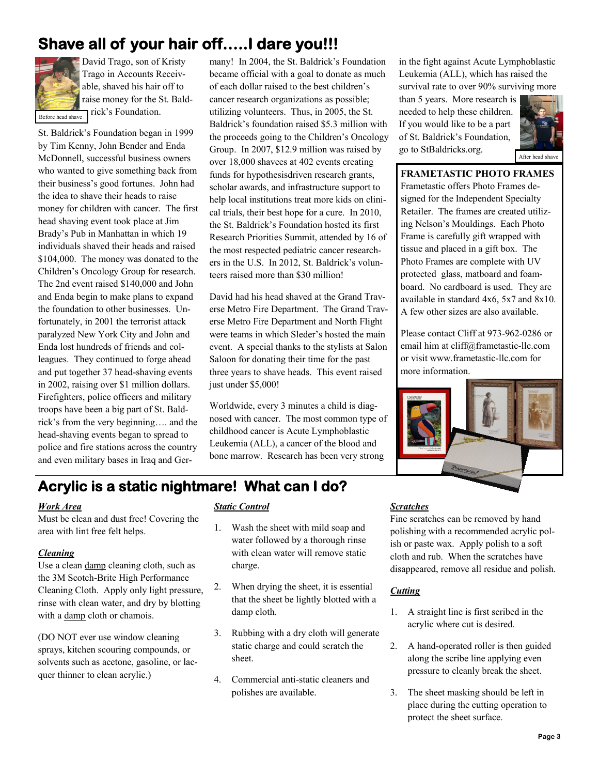## **Shave all of your hair off…..I dare you!!!**



David Trago, son of Kristy Trago in Accounts Receivable, shaved his hair off to raise money for the St. Baldrick's Foundation.

Before head shave

St. Baldrick's Foundation began in 1999 by Tim Kenny, John Bender and Enda McDonnell, successful business owners who wanted to give something back from their business's good fortunes. John had the idea to shave their heads to raise money for children with cancer. The first head shaving event took place at Jim Brady's Pub in Manhattan in which 19 individuals shaved their heads and raised \$104,000. The money was donated to the Children's Oncology Group for research. The 2nd event raised \$140,000 and John and Enda begin to make plans to expand the foundation to other businesses. Unfortunately, in 2001 the terrorist attack paralyzed New York City and John and Enda lost hundreds of friends and colleagues. They continued to forge ahead and put together 37 head-shaving events in 2002, raising over \$1 million dollars. Firefighters, police officers and military troops have been a big part of St. Baldrick's from the very beginning…. and the head-shaving events began to spread to police and fire stations across the country and even military bases in Iraq and Germany! In 2004, the St. Baldrick's Foundation became official with a goal to donate as much of each dollar raised to the best children's cancer research organizations as possible; utilizing volunteers. Thus, in 2005, the St. Baldrick's foundation raised \$5.3 million with the proceeds going to the Children's Oncology Group. In 2007, \$12.9 million was raised by over 18,000 shavees at 402 events creating funds for hypothesisdriven research grants, scholar awards, and infrastructure support to help local institutions treat more kids on clinical trials, their best hope for a cure. In 2010, the St. Baldrick's Foundation hosted its first Research Priorities Summit, attended by 16 of the most respected pediatric cancer researchers in the U.S. In 2012, St. Baldrick's volunteers raised more than \$30 million!

David had his head shaved at the Grand Traverse Metro Fire Department. The Grand Traverse Metro Fire Department and North Flight were teams in which Sleder's hosted the main event. A special thanks to the stylists at Salon Saloon for donating their time for the past three years to shave heads. This event raised just under \$5,000!

Worldwide, every 3 minutes a child is diagnosed with cancer. The most common type of childhood cancer is Acute Lymphoblastic Leukemia (ALL), a cancer of the blood and bone marrow. Research has been very strong

in the fight against Acute Lymphoblastic Leukemia (ALL), which has raised the survival rate to over 90% surviving more

than 5 years. More research is needed to help these children. If you would like to be a part of St. Baldrick's Foundation, go to StBaldricks.org.



#### After head shave

#### **FRAMETASTIC PHOTO FRAMES**

Frametastic offers Photo Frames designed for the Independent Specialty Retailer. The frames are created utilizing Nelson's Mouldings. Each Photo Frame is carefully gift wrapped with tissue and placed in a gift box. The Photo Frames are complete with UV protected glass, matboard and foamboard. No cardboard is used. They are available in standard 4x6, 5x7 and 8x10. A few other sizes are also available.

Please contact Cliff at 973-962-0286 or email him at cliff@frametastic-llc.com or visit www.frametastic-llc.com for more information.



## **Acrylic is a static nightmare! What can I do?**

### *Work Area*

Must be clean and dust free! Covering the area with lint free felt helps.

#### *Cleaning*

Use a clean damp cleaning cloth, such as the 3M Scotch-Brite High Performance Cleaning Cloth. Apply only light pressure, rinse with clean water, and dry by blotting with a damp cloth or chamois.

(DO NOT ever use window cleaning sprays, kitchen scouring compounds, or solvents such as acetone, gasoline, or lacquer thinner to clean acrylic.)

### *Static Control*

- 1. Wash the sheet with mild soap and water followed by a thorough rinse with clean water will remove static charge.
- 2. When drying the sheet, it is essential that the sheet be lightly blotted with a damp cloth.
- 3. Rubbing with a dry cloth will generate static charge and could scratch the sheet.
- 4. Commercial anti-static cleaners and polishes are available.

### *Scratches*

Fine scratches can be removed by hand polishing with a recommended acrylic polish or paste wax. Apply polish to a soft cloth and rub. When the scratches have disappeared, remove all residue and polish.

### *Cutting*

- 1. A straight line is first scribed in the acrylic where cut is desired.
- 2. A hand-operated roller is then guided along the scribe line applying even pressure to cleanly break the sheet.
- 3. The sheet masking should be left in place during the cutting operation to protect the sheet surface.